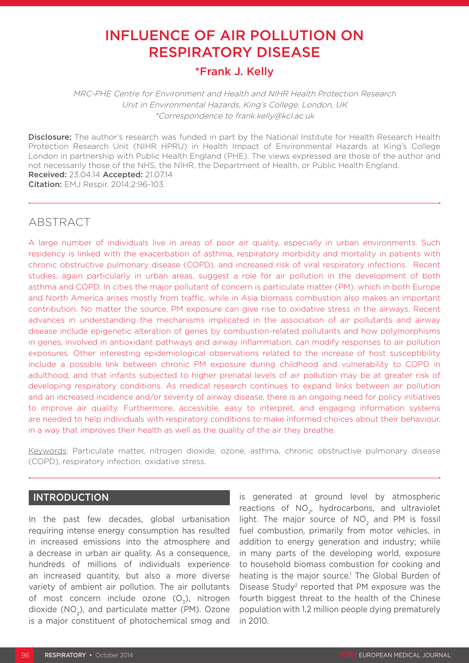# INFLUENCE OF AIR POLLUTION ON RESPIRATORY DISEASE

## \*Frank J. Kelly

MRC-PHE Centre for Environment and Health and NIHR Health Protection Research Unit in Environmental Hazards, King's College, London, UK \*Correspondence to frank.kelly@kcl.ac.uk

Disclosure: The author's research was funded in part by the National Institute for Health Research Health Protection Research Unit (NIHR HPRU) in Health Impact of Environmental Hazards at King's College London in partnership with Public Health England (PHE). The views expressed are those of the author and not necessarily those of the NHS, the NIHR, the Department of Health, or Public Health England. Received: 23.04.14 Accepted: 21.07.14 Citation: EMJ Respir. 2014;2:96-103.

## ABSTRACT

A large number of individuals live in areas of poor air quality, especially in urban environments. Such residency is linked with the exacerbation of asthma, respiratory morbidity and mortality in patients with chronic obstructive pulmonary disease (COPD), and increased risk of viral respiratory infections. Recent studies, again particularly in urban areas, suggest a role for air pollution in the development of both asthma and COPD. In cities the major pollutant of concern is particulate matter (PM), which in both Europe and North America arises mostly from traffic, while in Asia biomass combustion also makes an important contribution. No matter the source, PM exposure can give rise to oxidative stress in the airways. Recent advances in understanding the mechanisms implicated in the association of air pollutants and airway disease include epigenetic alteration of genes by combustion-related pollutants and how polymorphisms in genes, involved in antioxidant pathways and airway inflammation, can modify responses to air pollution exposures. Other interesting epidemiological observations related to the increase of host susceptibility include a possible link between chronic PM exposure during childhood and vulnerability to COPD in adulthood, and that infants subjected to higher prenatal levels of air pollution may be at greater risk of developing respiratory conditions. As medical research continues to expand links between air pollution and an increased incidence and/or severity of airway disease, there is an ongoing need for policy initiatives to improve air quality. Furthermore, accessible, easy to interpret, and engaging information systems are needed to help individuals with respiratory conditions to make informed choices about their behaviour, in a way that improves their health as well as the quality of the air they breathe.

Keywords: Particulate matter, nitrogen dioxide, ozone, asthma, chronic obstructive pulmonary disease (COPD), respiratory infection, oxidative stress.

### INTRODUCTION

In the past few decades, global urbanisation requiring intense energy consumption has resulted in increased emissions into the atmosphere and a decrease in urban air quality. As a consequence, hundreds of millions of individuals experience an increased quantity, but also a more diverse variety of ambient air pollution. The air pollutants of most concern include ozone  $(O_2)$ , nitrogen dioxide (NO2), and particulate matter (PM). Ozone is a major constituent of photochemical smog and

is generated at ground level by atmospheric reactions of NO<sub>2</sub>, hydrocarbons, and ultraviolet light. The major source of NO<sub>2</sub> and PM is fossil fuel combustion, primarily from motor vehicles, in addition to energy generation and industry; while in many parts of the developing world, exposure to household biomass combustion for cooking and heating is the major source.<sup>1</sup> The Global Burden of Disease Study2 reported that PM exposure was the fourth biggest threat to the health of the Chinese population with 1.2 million people dying prematurely in 2010.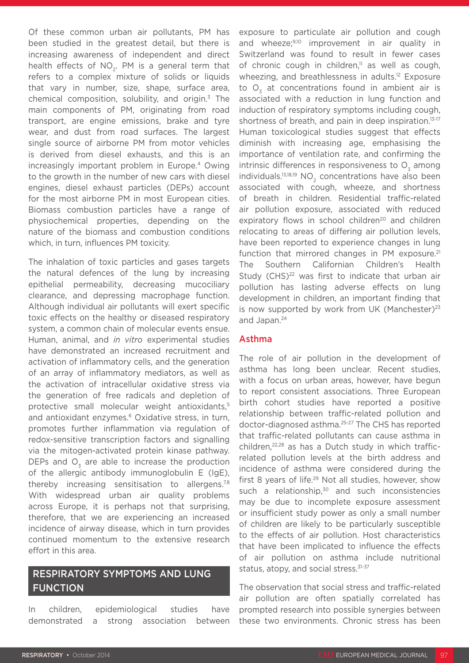Of these common urban air pollutants, PM has been studied in the greatest detail, but there is increasing awareness of independent and direct health effects of  $NO<sub>2</sub>$ . PM is a general term that refers to a complex mixture of solids or liquids that vary in number, size, shape, surface area, chemical composition, solubility, and origin. $3$  The main components of PM, originating from road transport, are engine emissions, brake and tyre wear, and dust from road surfaces. The largest single source of airborne PM from motor vehicles is derived from diesel exhausts, and this is an increasingly important problem in Europe.<sup>4</sup> Owing to the growth in the number of new cars with diesel engines, diesel exhaust particles (DEPs) account for the most airborne PM in most European cities. Biomass combustion particles have a range of physiochemical properties, depending on the nature of the biomass and combustion conditions which, in turn, influences PM toxicity.

The inhalation of toxic particles and gases targets the natural defences of the lung by increasing epithelial permeability, decreasing mucociliary clearance, and depressing macrophage function. Although individual air pollutants will exert specific toxic effects on the healthy or diseased respiratory system, a common chain of molecular events ensue. Human, animal, and *in vitro* experimental studies have demonstrated an increased recruitment and activation of inflammatory cells, and the generation of an array of inflammatory mediators, as well as the activation of intracellular oxidative stress via the generation of free radicals and depletion of protective small molecular weight antioxidants,5 and antioxidant enzymes.<sup>6</sup> Oxidative stress, in turn, promotes further inflammation via regulation of redox-sensitive transcription factors and signalling via the mitogen-activated protein kinase pathway. DEPs and O<sub>2</sub> are able to increase the production of the allergic antibody immunoglobulin E (IgE), thereby increasing sensitisation to allergens.<sup>7,8</sup> With widespread urban air quality problems across Europe, it is perhaps not that surprising, therefore, that we are experiencing an increased incidence of airway disease, which in turn provides continued momentum to the extensive research effort in this area.

## RESPIRATORY SYMPTOMS AND LUNG FUNCTION

In children, epidemiological studies have demonstrated a strong association between exposure to particulate air pollution and cough and wheeze; $9,10$  improvement in air quality in Switzerland was found to result in fewer cases of chronic cough in children, $\mathbb{I}$  as well as cough, wheezing, and breathlessness in adults.<sup>12</sup> Exposure to O<sub>2</sub> at concentrations found in ambient air is associated with a reduction in lung function and induction of respiratory symptoms including cough, shortness of breath, and pain in deep inspiration.<sup>13-17</sup> Human toxicological studies suggest that effects diminish with increasing age, emphasising the importance of ventilation rate, and confirming the intrinsic differences in responsiveness to  $O<sub>z</sub>$  among individuals. $13,18,19$  NO<sub>2</sub> concentrations have also been associated with cough, wheeze, and shortness of breath in children. Residential traffic-related air pollution exposure, associated with reduced expiratory flows in school children<sup>20</sup> and children relocating to areas of differing air pollution levels, have been reported to experience changes in lung function that mirrored changes in PM exposure. $21$ The Southern Californian Children's Health Study (CHS)<sup>22</sup> was first to indicate that urban air pollution has lasting adverse effects on lung development in children, an important finding that is now supported by work from UK (Manchester) $23$ and Japan.24

### Asthma

The role of air pollution in the development of asthma has long been unclear. Recent studies, with a focus on urban areas, however, have begun to report consistent associations. Three European birth cohort studies have reported a positive relationship between traffic-related pollution and doctor-diagnosed asthma.25-27 The CHS has reported that traffic-related pollutants can cause asthma in children,<sup>22,28</sup> as has a Dutch study in which trafficrelated pollution levels at the birth address and incidence of asthma were considered during the first 8 years of life.<sup>29</sup> Not all studies, however, show such a relationship, $30$  and such inconsistencies may be due to incomplete exposure assessment or insufficient study power as only a small number of children are likely to be particularly susceptible to the effects of air pollution. Host characteristics that have been implicated to influence the effects of air pollution on asthma include nutritional status, atopy, and social stress.<sup>31-37</sup>

The observation that social stress and traffic-related air pollution are often spatially correlated has prompted research into possible synergies between these two environments. Chronic stress has been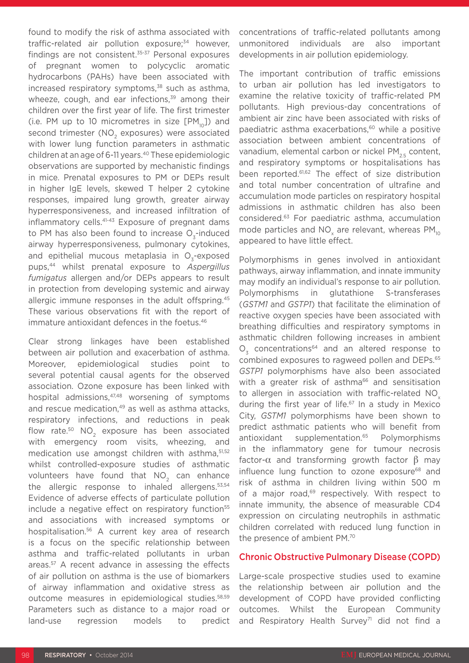found to modify the risk of asthma associated with traffic-related air pollution exposure;<sup>34</sup> however, findings are not consistent.<sup>35-37</sup> Personal exposures of pregnant women to polycyclic aromatic hydrocarbons (PAHs) have been associated with increased respiratory symptoms,<sup>38</sup> such as asthma, wheeze, cough, and ear infections, $39$  among their children over the first year of life. The first trimester (i.e. PM up to 10 micrometres in size  $[PM_{10}]$ ) and second trimester (NO<sub>2</sub> exposures) were associated with lower lung function parameters in asthmatic children at an age of 6-11 years.40 These epidemiologic observations are supported by mechanistic findings in mice. Prenatal exposures to PM or DEPs result in higher IgE levels, skewed T helper 2 cytokine responses, impaired lung growth, greater airway hyperresponsiveness, and increased infiltration of inflammatory cells.<sup>41-43</sup> Exposure of pregnant dams to PM has also been found to increase O<sub>z</sub>-induced airway hyperresponsiveness, pulmonary cytokines, and epithelial mucous metaplasia in O<sub>-rexposed</sub> pups,44 whilst prenatal exposure to *Aspergillus fumigatus* allergen and/or DEPs appears to result in protection from developing systemic and airway allergic immune responses in the adult offspring.<sup>45</sup> These various observations fit with the report of immature antioxidant defences in the foetus.<sup>46</sup>

Clear strong linkages have been established between air pollution and exacerbation of asthma. Moreover, epidemiological studies point to several potential causal agents for the observed association. Ozone exposure has been linked with hospital admissions, 47,48 worsening of symptoms and rescue medication,<sup>49</sup> as well as asthma attacks, respiratory infections, and reductions in peak flow rate. $50$  NO<sub>2</sub> exposure has been associated with emergency room visits, wheezing, and medication use amongst children with asthma, 51,52 whilst controlled-exposure studies of asthmatic volunteers have found that NO<sub>2</sub> can enhance the allergic response to inhaled allergens.<sup>53,54</sup> Evidence of adverse effects of particulate pollution include a negative effect on respiratory function<sup>55</sup> and associations with increased symptoms or hospitalisation.56 A current key area of research is a focus on the specific relationship between asthma and traffic-related pollutants in urban areas.57 A recent advance in assessing the effects of air pollution on asthma is the use of biomarkers of airway inflammation and oxidative stress as outcome measures in epidemiological studies.58,59 Parameters such as distance to a major road or land-use regression models to predict

concentrations of traffic-related pollutants among unmonitored individuals are also important developments in air pollution epidemiology.

The important contribution of traffic emissions to urban air pollution has led investigators to examine the relative toxicity of traffic-related PM pollutants. High previous-day concentrations of ambient air zinc have been associated with risks of paediatric asthma exacerbations,<sup>60</sup> while a positive association between ambient concentrations of vanadium, elemental carbon or nickel PM<sub>25</sub> content, and respiratory symptoms or hospitalisations has been reported.61,62 The effect of size distribution and total number concentration of ultrafine and accumulation mode particles on respiratory hospital admissions in asthmatic children has also been considered.63 For paediatric asthma, accumulation mode particles and NO<sub>z</sub> are relevant, whereas  $PM_{10}$ appeared to have little effect.

Polymorphisms in genes involved in antioxidant pathways, airway inflammation, and innate immunity may modify an individual's response to air pollution. Polymorphisms in glutathione S-transferases (*GSTM1* and *GSTP1*) that facilitate the elimination of reactive oxygen species have been associated with breathing difficulties and respiratory symptoms in asthmatic children following increases in ambient  $O<sub>z</sub>$  concentrations<sup>64</sup> and an altered response to combined exposures to ragweed pollen and DEPs.65 *GSTP1* polymorphisms have also been associated with a greater risk of asthma<sup>66</sup> and sensitisation to allergen in association with traffic-related NO<sub>v</sub> during the first year of life.<sup>67</sup> In a study in Mexico City, *GSTM1* polymorphisms have been shown to predict asthmatic patients who will benefit from antioxidant supplementation.<sup>65</sup> Polymorphisms in the inflammatory gene for tumour necrosis factor-α and transforming growth factor  $β$  may influence lung function to ozone exposure<sup>68</sup> and risk of asthma in children living within 500 m of a major road,<sup>69</sup> respectively. With respect to innate immunity, the absence of measurable CD4 expression on circulating neutrophils in asthmatic children correlated with reduced lung function in the presence of ambient PM.70

#### Chronic Obstructive Pulmonary Disease (COPD)

Large-scale prospective studies used to examine the relationship between air pollution and the development of COPD have provided conflicting outcomes. Whilst the European Community and Respiratory Health Survey<sup>71</sup> did not find a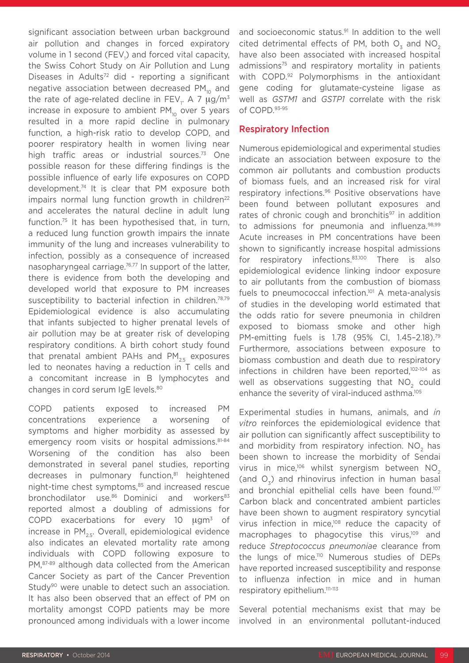significant association between urban background air pollution and changes in forced expiratory volume in 1 second (FEV<sub>1</sub>) and forced vital capacity, the Swiss Cohort Study on Air Pollution and Lung Diseases in Adults<sup>72</sup> did - reporting a significant negative association between decreased  $PM_{10}$  and the rate of age-related decline in FEV<sub>1</sub>. A 7  $\mu$ g/m $^3$ increase in exposure to ambient  $PM_{10}$  over 5 years resulted in a more rapid decline in pulmonary function, a high-risk ratio to develop COPD, and poorer respiratory health in women living near high traffic areas or industrial sources.<sup>73</sup> One possible reason for these differing findings is the possible influence of early life exposures on COPD development.74 It is clear that PM exposure both impairs normal lung function growth in children<sup>22</sup> and accelerates the natural decline in adult lung function.75 It has been hypothesised that, in turn, a reduced lung function growth impairs the innate immunity of the lung and increases vulnerability to infection, possibly as a consequence of increased nasopharyngeal carriage.76,77 In support of the latter, there is evidence from both the developing and developed world that exposure to PM increases susceptibility to bacterial infection in children.<sup>78,79</sup> Epidemiological evidence is also accumulating that infants subjected to higher prenatal levels of air pollution may be at greater risk of developing respiratory conditions. A birth cohort study found that prenatal ambient PAHs and  $PM_{25}$  exposures led to neonates having a reduction in T cells and a concomitant increase in B lymphocytes and changes in cord serum IgE levels.<sup>80</sup>

COPD patients exposed to increased PM concentrations experience a worsening of symptoms and higher morbidity as assessed by emergency room visits or hospital admissions.<sup>81-84</sup> Worsening of the condition has also been demonstrated in several panel studies, reporting decreases in pulmonary function,<sup>81</sup> heightened night-time chest symptoms,<sup>85</sup> and increased rescue bronchodilator use.<sup>86</sup> Dominici and workers<sup>83</sup> reported almost a doubling of admissions for COPD exacerbations for every 10 μgm3 of increase in  $PM_{25}$ . Overall, epidemiological evidence also indicates an elevated mortality rate among individuals with COPD following exposure to PM,87-89 although data collected from the American Cancer Society as part of the Cancer Prevention Study<sup>90</sup> were unable to detect such an association. It has also been observed that an effect of PM on mortality amongst COPD patients may be more pronounced among individuals with a lower income

and socioeconomic status.<sup>91</sup> In addition to the well cited detrimental effects of PM, both  $O<sub>z</sub>$  and NO<sub>2</sub> have also been associated with increased hospital admissions<sup>75</sup> and respiratory mortality in patients with COPD.92 Polymorphisms in the antioxidant gene coding for glutamate-cysteine ligase as well as *GSTM1* and *GSTP1* correlate with the risk of COPD.93-95

#### Respiratory Infection

Numerous epidemiological and experimental studies indicate an association between exposure to the common air pollutants and combustion products of biomass fuels, and an increased risk for viral respiratory infections.96 Positive observations have been found between pollutant exposures and rates of chronic cough and bronchitis<sup>97</sup> in addition to admissions for pneumonia and influenza.<sup>98,99</sup> Acute increases in PM concentrations have been shown to significantly increase hospital admissions for respiratory infections.83,100 There is also epidemiological evidence linking indoor exposure to air pollutants from the combustion of biomass fuels to pneumococcal infection.<sup>101</sup> A meta-analysis of studies in the developing world estimated that the odds ratio for severe pneumonia in children exposed to biomass smoke and other high PM-emitting fuels is 1.78 (95% CI, 1.45–2.18).79 Furthermore, associations between exposure to biomass combustion and death due to respiratory infections in children have been reported,<sup>102-104</sup> as well as observations suggesting that NO<sub>2</sub> could enhance the severity of viral-induced asthma.<sup>105</sup>

Experimental studies in humans, animals, and *in vitro* reinforces the epidemiological evidence that air pollution can significantly affect susceptibility to and morbidity from respiratory infection. NO<sub>2</sub> has been shown to increase the morbidity of Sendai virus in mice,<sup>106</sup> whilst synergism between  $NO<sub>2</sub>$ (and  $O<sub>z</sub>$ ) and rhinovirus infection in human basal and bronchial epithelial cells have been found.<sup>107</sup> Carbon black and concentrated ambient particles have been shown to augment respiratory syncytial virus infection in mice,<sup>108</sup> reduce the capacity of macrophages to phagocytise this virus,<sup>109</sup> and reduce *Streptococcus pneumoniae* clearance from the lungs of mice.<sup>110</sup> Numerous studies of DEPs have reported increased susceptibility and response to influenza infection in mice and in human respiratory epithelium.111-113

Several potential mechanisms exist that may be involved in an environmental pollutant-induced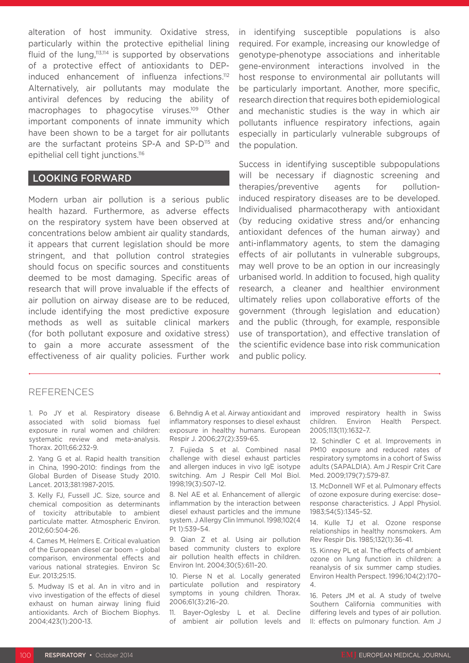alteration of host immunity. Oxidative stress, particularly within the protective epithelial lining fluid of the lung, $113,114$  is supported by observations of a protective effect of antioxidants to DEPinduced enhancement of influenza infections.112 Alternatively, air pollutants may modulate the antiviral defences by reducing the ability of macrophages to phagocytise viruses.<sup>109</sup> Other important components of innate immunity which have been shown to be a target for air pollutants are the surfactant proteins SP-A and SP-D<sup>115</sup> and epithelial cell tight junctions.116

#### LOOKING FORWARD

Modern urban air pollution is a serious public health hazard. Furthermore, as adverse effects on the respiratory system have been observed at concentrations below ambient air quality standards, it appears that current legislation should be more stringent, and that pollution control strategies should focus on specific sources and constituents deemed to be most damaging. Specific areas of research that will prove invaluable if the effects of air pollution on airway disease are to be reduced, include identifying the most predictive exposure methods as well as suitable clinical markers (for both pollutant exposure and oxidative stress) to gain a more accurate assessment of the effectiveness of air quality policies. Further work in identifying susceptible populations is also required. For example, increasing our knowledge of genotype-phenotype associations and inheritable gene-environment interactions involved in the host response to environmental air pollutants will be particularly important. Another, more specific, research direction that requires both epidemiological and mechanistic studies is the way in which air pollutants influence respiratory infections, again especially in particularly vulnerable subgroups of the population.

Success in identifying susceptible subpopulations will be necessary if diagnostic screening and therapies/preventive agents for pollutioninduced respiratory diseases are to be developed. Individualised pharmacotherapy with antioxidant (by reducing oxidative stress and/or enhancing antioxidant defences of the human airway) and anti-inflammatory agents, to stem the damaging effects of air pollutants in vulnerable subgroups, may well prove to be an option in our increasingly urbanised world. In addition to focused, high quality research, a cleaner and healthier environment ultimately relies upon collaborative efforts of the government (through legislation and education) and the public (through, for example, responsible use of transportation), and effective translation of the scientific evidence base into risk communication and public policy.

#### REFERENCES

1. Po JY et al. Respiratory disease associated with solid biomass fuel exposure in rural women and children: systematic review and meta-analysis. Thorax. 2011;66:232-9.

2. Yang G et al. Rapid health transition in China, 1990-2010: findings from the Global Burden of Disease Study 2010. Lancet. 2013;381:1987-2015.

3. Kelly FJ, Fussell JC. Size, source and chemical composition as determinants of toxicity attributable to ambient particulate matter. Atmospheric Environ. 2012;60:504-26.

4. Cames M, Helmers E. Critical evaluation of the European diesel car boom – global comparison, environmental effects and various national strategies. Environ Sc Eur. 2013;25:15.

5. Mudway IS et al. An in vitro and in vivo investigation of the effects of diesel exhaust on human airway lining fluid antioxidants. Arch of Biochem Biophys. 2004;423(1):200-13.

6. Behndig A et al. Airway antioxidant and inflammatory responses to diesel exhaust exposure in healthy humans. European Respir J. 2006;27(2):359-65.

7. Fujieda S et al. Combined nasal challenge with diesel exhaust particles and allergen induces in vivo IgE isotype switching. Am J Respir Cell Mol Biol. 1998;19(3):507–12.

8. Nel AE et al. Enhancement of allergic inflammation by the interaction between diesel exhaust particles and the immune system. J Allergy Clin Immunol. 1998;102(4 Pt 1):539–54.

9. Qian Z et al. Using air pollution based community clusters to explore air pollution health effects in children. Environ Int. 2004;30(5):611–20.

10. Pierse N et al. Locally generated particulate pollution and respiratory symptoms in young children. Thorax. 2006;61(3):216–20.

11. Bayer-Oglesby L et al. Decline of ambient air pollution levels and

improved respiratory health in Swiss children. Environ Health Perspect. 2005;113(11):1632–7.

12. Schindler C et al. Improvements in PM10 exposure and reduced rates of respiratory symptoms in a cohort of Swiss adults (SAPALDIA). Am J Respir Crit Care Med. 2009;179(7):579-87.

13. McDonnell WF et al. Pulmonary effects of ozone exposure during exercise: dose– response characteristics. J Appl Physiol. 1983;54(5):1345–52.

14. Kulle TJ et al. Ozone response relationships in healthy nonsmokers. Am Rev Respir Dis. 1985;132(1):36-41.

15. Kinney PL et al. The effects of ambient ozone on lung function in children: a reanalysis of six summer camp studies. Environ Health Perspect. 1996;104(2):170– 4.

16. Peters JM et al. A study of twelve Southern California communities with differing levels and types of air pollution. II: effects on pulmonary function. Am J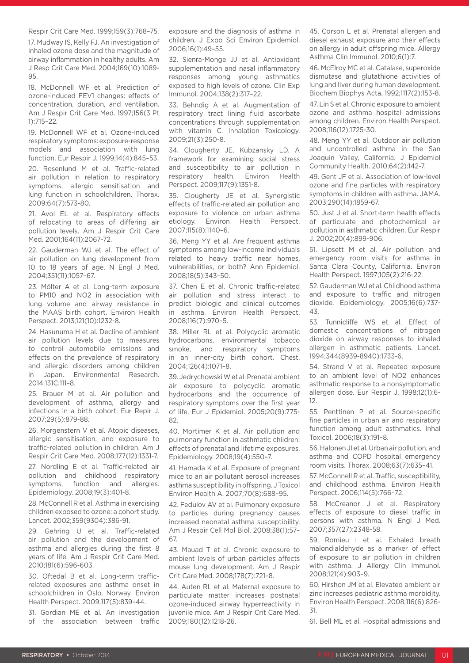#### Respir Crit Care Med. 1999;159(3):768–75.

17. Mudway IS, Kelly FJ. An investigation of inhaled ozone dose and the magnitude of airway inflammation in healthy adults. Am J Resp Crit Care Med. 2004;169(10):1089- 95.

18. McDonnell WF et al. Prediction of ozone-induced FEV1 changes: effects of concentration, duration, and ventilation. Am J Respir Crit Care Med. 1997;156(3 Pt 1):715–22.

19. McDonnell WF et al. Ozone-induced respiratory symptoms: exposure-response models and association with lung function. Eur Respir J. 1999;14(4):845–53. 20. Rosenlund M et al. Traffic-related air pollution in relation to respiratory symptoms, allergic sensitisation and lung function in schoolchildren. Thorax. 2009;64(7):573-80.

21. Avol EL et al. Respiratory effects of relocating to areas of differing air pollution levels. Am J Respir Crit Care Med. 2001;164(11):2067-72.

22. Gauderman WJ et al. The effect of air pollution on lung development from 10 to 18 years of age. N Engl J Med. 2004;351(11):1057–67.

23. Mölter A et al. Long-term exposure to PM10 and NO2 in association with lung volume and airway resistance in the MAAS birth cohort. Environ Health Perspect. 2013;121(10):1232-8.

24. Hasunuma H et al. Decline of ambient air pollution levels due to measures to control automobile emissions and effects on the prevalence of respiratory and allergic disorders among children in Japan. Environmental Research. 2014;131C:111–8.

25. Brauer M et al. Air pollution and development of asthma, allergy and infections in a birth cohort. Eur Repir J. 2007;29(5):879-88.

26. Morgenstern V et al. Atopic diseases, allergic sensitisation, and exposure to traffic-related pollution in children. Am J Respir Crit Care Med. 2008;177(12):1331-7.

27. Nordling E et al. Traffic-related air pollution and childhood respiratory symptoms, function and allergies. Epidemiology. 2008;19(3):401-8.

28. McConnell R et al. Asthma in exercising children exposed to ozone: a cohort study. Lancet. 2002;359(9304):386-91.

29. Gehring U et al. Traffic-related air pollution and the development of asthma and allergies during the first 8 years of life. Am J Respir Crit Care Med. 2010;181(6):596-603.

30. Oftedal B et al. Long-term trafficrelated exposures and asthma onset in schoolchildren in Oslo, Norway. Environ Health Perspect. 2009;117(5):839–44.

31. Gordian ME et al. An investigation of the association between traffic

exposure and the diagnosis of asthma in children. J Expo Sci Environ Epidemiol. 2006;16(1):49–55.

32. Sienra-Monge JJ et al. Antioxidant supplementation and nasal inflammatory responses among young asthmatics exposed to high levels of ozone. Clin Exp Immunol. 2004;138(2):317–22.

33. Behndig A et al. Augmentation of respiratory tract lining fluid ascorbate concentrations through supplementation with vitamin C. Inhalation Toxicology. 2009;21(3):250-8.

34. Clougherty JE, Kubzansky LD. A framework for examining social stress and susceptibility to air pollution in respiratory health. Environ Health Perspect. 2009;117(9):1351-8.

35. Clougherty JE et al. Synergistic effects of traffic-related air pollution and exposure to violence on urban asthma etiology. Environ Health Perspect. 2007;115(8):1140–6.

36. Meng YY et al. Are frequent asthma symptoms among low-income individuals related to heavy traffic near homes, vulnerabilities, or both? Ann Epidemiol. 2008;18(5):343–50.

37. Chen E et al. Chronic traffic-related air pollution and stress interact to predict biologic and clinical outcomes in asthma. Environ Health Perspect. 2008;116(7):970–5.

38. Miller RL et al. Polycyclic aromatic hydrocarbons, environmental tobacco smoke, and respiratory symptoms in an inner-city birth cohort. Chest. 2004;126(4):1071–8.

39. Jedrychowski W et al. Prenatal ambient air exposure to polycyclic aromatic hydrocarbons and the occurrence of respiratory symptoms over the first year of life. Eur J Epidemiol. 2005;20(9):775- 82

40. Mortimer K et al. Air pollution and pulmonary function in asthmatic children: effects of prenatal and lifetime exposures. Epidemiology. 2008;19(4):550–7.

41. Hamada K et al. Exposure of pregnant mice to an air pollutant aerosol increases asthma susceptibility in offspring. J Toxicol Environ Health A. 2007;70(8):688–95.

42. Fedulov AV et al. Pulmonary exposure to particles during pregnancy causes increased neonatal asthma susceptibility. Am J Respir Cell Mol Biol. 2008;38(1):57– 67.

43. Mauad T et al. Chronic exposure to ambient levels of urban particles affects mouse lung development. Am J Respir Crit Care Med. 2008;178(7):721–8.

44. Auten RL et al. Maternal exposure to particulate matter increases postnatal ozone-induced airway hyperreactivity in juvenile mice. Am J Respir Crit Care Med. 2009;180(12):1218-26.

45. Corson L et al. Prenatal allergen and diesel exhaust exposure and their effects on allergy in adult offspring mice. Allergy Asthma Clin Immunol. 2010;6(1):7.

46. McElroy MC et al. Catalase, superoxide dismutase and glutathione activities of lung and liver during human development. Biochem Biophys Acta. 1992;1117(2):153-8.

47. Lin S et al. Chronic exposure to ambient ozone and asthma hospital admissions among children. Environ Health Perspect. 2008;116(12):1725-30.

48. Meng YY et al. Outdoor air pollution and uncontrolled asthma in the San Joaquin Valley, California. J Epidemiol Community Health. 2010;64(2):142-7.

49. Gent JF et al. Association of low-level ozone and fine particles with respiratory symptoms in children with asthma. JAMA. 2003;290(14):1859-67.

50. Just J et al. Short-term health effects of particulate and photochemical air pollution in asthmatic children. Eur Respir J. 2002;20(4):899-906.

51. Lipsett M et al. Air pollution and emergency room visits for asthma in Santa Clara County, California. Environ Health Perspect. 1997;105(2):216-22.

52. Gauderman WJ et al. Childhood asthma and exposure to traffic and nitrogen dioxide. Epidemiology. 2005;16(6):737- 43.

53. Tunnicliffe WS et al. Effect of domestic concentrations of nitrogen dioxide on airway responses to inhaled allergen in asthmatic patients. Lancet. 1994;344(8939-8940):1733-6.

54. Strand V et al. Repeated exposure to an ambient level of NO2 enhances asthmatic response to a nonsymptomatic allergen dose. Eur Respir J. 1998;12(1):6- 12.

55. Penttinen P et al. Source-specific fine particles in urban air and respiratory function among adult asthmatics. Inhal Toxicol. 2006;18(3):191–8.

56. Halonen JI et al. Urban air pollution, and asthma and COPD hospital emergency room visits. Thorax. 2008;63(7):635–41.

57. McConnell R et al. Traffic, susceptibility, and childhood asthma. Environ Health Perspect. 2006;114(5):766–72.

58. McCreanor J et al. Respiratory effects of exposure to diesel traffic in persons with asthma. N Engl J Med. 2007;357(27):2348-58.

59. Romieu I et al. Exhaled breath malondialdehyde as a marker of effect of exposure to air pollution in children with asthma. J Allergy Clin Immunol. 2008;121(4):903–9.

60. Hirshon JM et al. Elevated ambient air zinc increases pediatric asthma morbidity. Environ Health Perspect. 2008;116(6):826- 31.

61. Bell ML et al. Hospital admissions and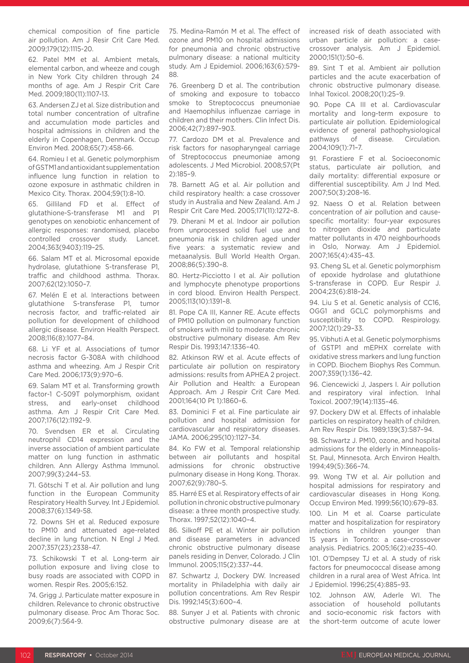chemical composition of fine particle air pollution. Am J Resir Crit Care Med. 2009;179(12):1115-20.

62. Patel MM et al. Ambient metals, elemental carbon, and wheeze and cough in New York City children through 24 months of age. Am J Respir Crit Care Med. 2009;180(11):1107-13.

63. Andersen ZJ et al. Size distribution and total number concentration of ultrafine and accumulation mode particles and hospital admissions in children and the elderly in Copenhagen, Denmark. Occup Environ Med. 2008;65(7):458-66.

64. Romieu I et al. Genetic polymorphism of GSTM1 and antioxidant supplementation influence lung function in relation to ozone exposure in asthmatic children in Mexico City. Thorax. 2004;59(1):8–10.

65. Gilliland FD et al. Effect of glutathione-S-transferase M1 and P1 genotypes on xenobiotic enhancement of allergic responses: randomised, placebo controlled crossover study. Lancet. 2004;363(9403):119–25.

66. Salam MT et al. Microsomal epoxide hydrolase, glutathione S-transferase P1, traffic and childhood asthma. Thorax. 2007;62(12):1050–7.

67. Melén E et al. Interactions between glutathione S-transferase P1, tumor necrosis factor, and traffic-related air pollution for development of childhood allergic disease. Environ Health Perspect. 2008;116(8):1077–84.

68. Li YF et al. Associations of tumor necrosis factor G-308A with childhood asthma and wheezing. Am J Respir Crit Care Med. 2006;173(9):970–6.

69. Salam MT et al. Transforming growth factor-1 C-509T polymorphism, oxidant stress, and early-onset childhood asthma. Am J Respir Crit Care Med. 2007;176(12):1192–9.

70. Svendsen ER et al. Circulating neutrophil CD14 expression and the inverse association of ambient particulate matter on lung function in asthmatic children. Ann Allergy Asthma Immunol. 2007;99(3):244–53.

71. Götschi T et al. Air pollution and lung function in the European Community Respiratory Health Survey. Int J Epidemiol. 2008;37(6):1349-58.

72. Downs SH et al. Reduced exposure to PM10 and attenuated age-related decline in lung function. N Engl J Med. 2007;357(23):2338–47.

73. Schikowski T et al. Long-term air pollution exposure and living close to busy roads are associated with COPD in women. Respir Res. 2005;6:152.

74. Grigg J. Particulate matter exposure in children. Relevance to chronic obstructive pulmonary disease. Proc Am Thorac Soc. 2009;6(7):564-9.

75. Medina-Ramón M et al. The effect of ozone and PM10 on hospital admissions for pneumonia and chronic obstructive pulmonary disease: a national multicity study. Am J Epidemiol. 2006;163(6):579- 88.

76. Greenberg D et al. The contribution of smoking and exposure to tobacco smoke to Streptococcus pneumoniae and Haemophilus influenzae carriage in children and their mothers. Clin Infect Dis. 2006;42(7):897–903.

77. Cardozo DM et al. Prevalence and risk factors for nasopharyngeal carriage of Streptococcus pneumoniae among adolescents. J Med Microbiol. 2008;57(Pt 2):185–9.

78. Barnett AG et al. Air pollution and child respiratory health: a case crossover study in Australia and New Zealand. Am J Respir Crit Care Med. 2005;171(11):1272–8.

79. Dherani M et al. Indoor air pollution from unprocessed solid fuel use and pneumonia risk in children aged under five years: a systematic review and metaanalysis. Bull World Health Organ. 2008;86(5):390–8.

80. Hertz-Picciotto I et al. Air pollution and lymphocyte phenotype proportions in cord blood. Environ Health Perspect. 2005;113(10):1391–8.

81. Pope CA III, Kanner RE. Acute effects of PM10 pollution on pulmonary function of smokers with mild to moderate chronic obstructive pulmonary disease. Am Rev Respir Dis. 1993;147:1336–40.

82. Atkinson RW et al. Acute effects of particulate air pollution on respiratory admissions: results from APHEA 2 project. Air Pollution and Health: a European Approach. Am J Respir Crit Care Med. 2001;164(10 Pt 1):1860–6.

83. Dominici F et al. Fine particulate air pollution and hospital admission for cardiovascular and respiratory diseases. JAMA. 2006;295(10):1127–34.

84. Ko FW et al. Temporal relationship between air pollutants and hospital admissions for chronic obstructive pulmonary disease in Hong Kong. Thorax. 2007;62(9):780–5.

85. Harré ES et al. Respiratory effects of air pollution in chronic obstructive pulmonary disease: a three month prospective study. Thorax. 1997;52(12):1040–4.

86. Silkoff PE et al. Winter air pollution and disease parameters in advanced chronic obstructive pulmonary disease panels residing in Denver, Colorado. J Clin Immunol. 2005;115(2):337–44.

87. Schwartz J, Dockery DW. Increased mortality in Philadelphia with daily air pollution concentrations. Am Rev Respir Dis. 1992;145(3):600–4.

88. Sunyer J et al. Patients with chronic obstructive pulmonary disease are at increased risk of death associated with urban particle air pollution: a casecrossover analysis. Am J Epidemiol. 2000;151(1):50–6.

89. Sint T et al. Ambient air pollution particles and the acute exacerbation of chronic obstructive pulmonary disease. Inhal Toxicol. 2008;20(1):25–9.

90. Pope CA III et al. Cardiovascular mortality and long-term exposure to particulate air pollution. Epidemiological evidence of general pathophysiological pathways of disease. Circulation. 2004;109(1):71–7.

91. Forastiere F et al. Socioeconomic status, particulate air pollution, and daily mortality: differential exposure or differential susceptibility. Am J Ind Med. 2007;50(3):208–16.

92. Naess O et al. Relation between concentration of air pollution and causespecific mortality: four-year exposures to nitrogen dioxide and particulate matter pollutants in 470 neighbourhoods in Oslo, Norway. Am J Epidemiol. 2007;165(4):435–43.

93. Cheng SL et al. Genetic polymorphism of epoxide hydrolase and glutathione S-transferase in COPD. Eur Respir J. 2004;23(6):818–24.

94. Liu S et al. Genetic analysis of CC16, OGG1 and GCLC polymorphisms and susceptibility to COPD. Respirology. 2007;12(1):29–33.

95. Vibhuti A et al. Genetic polymorphisms of GSTP1 and mEPHX correlate with oxidative stress markers and lung function in COPD. Biochem Biophys Res Commun. 2007;359(1):136–42.

96. Ciencewicki J, Jaspers I. Air pollution and respiratory viral infection. Inhal Toxicol. 2007;19(14):1135–46.

97. Dockery DW et al. Effects of inhalable particles on respiratory health of children. Am Rev Respir Dis. 1989;139(3):587–94.

98. Schwartz J. PM10, ozone, and hospital admissions for the elderly in Minneapolis-St. Paul, Minnesota. Arch Environ Health. 1994;49(5):366–74.

99. Wong TW et al. Air pollution and hospital admissions for respiratory and cardiovascular diseases in Hong Kong. Occup Environ Med. 1999;56(10):679–83.

100. Lin M et al. Coarse particulate matter and hospitalization for respiratory infections in children younger than 15 years in Toronto: a case-crossover analysis. Pediatrics. 2005;16(2):e235–40.

101. O'Dempsey TJ et al. A study of risk factors for pneumococcal disease among children in a rural area of West Africa. Int J Epidemiol. 1996;25(4):885–93.

102. Johnson AW, Aderle WI. The association of household pollutants and socio-economic risk factors with the short-term outcome of acute lower